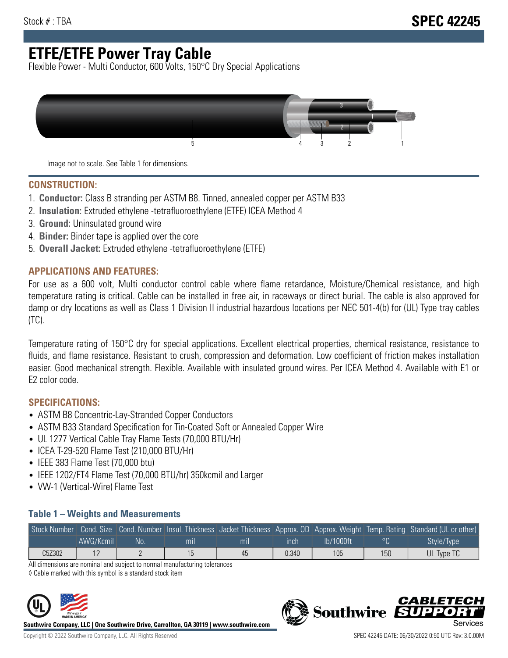# **ETFE/ETFE Power Tray Cable**

Flexible Power - Multi Conductor, 600 Volts, 150°C Dry Special Applications



Image not to scale. See Table 1 for dimensions.

#### **CONSTRUCTION:**

- 1. **Conductor:** Class B stranding per ASTM B8. Tinned, annealed copper per ASTM B33
- 2. **Insulation:** Extruded ethylene -tetrafluoroethylene (ETFE) ICEA Method 4
- 3. **Ground:** Uninsulated ground wire
- 4. **Binder:** Binder tape is applied over the core
- 5. **Overall Jacket:** Extruded ethylene -tetrafluoroethylene (ETFE)

### **APPLICATIONS AND FEATURES:**

For use as a 600 volt, Multi conductor control cable where flame retardance, Moisture/Chemical resistance, and high temperature rating is critical. Cable can be installed in free air, in raceways or direct burial. The cable is also approved for damp or dry locations as well as Class 1 Division II industrial hazardous locations per NEC 501-4(b) for (UL) Type tray cables (TC).

Temperature rating of 150°C dry for special applications. Excellent electrical properties, chemical resistance, resistance to fluids, and flame resistance. Resistant to crush, compression and deformation. Low coefficient of friction makes installation easier. Good mechanical strength. Flexible. Available with insulated ground wires. Per ICEA Method 4. Available with E1 or E2 color code.

## **SPECIFICATIONS:**

- ASTM B8 Concentric-Lay-Stranded Copper Conductors
- ASTM B33 Standard Specification for Tin-Coated Soft or Annealed Copper Wire
- UL 1277 Vertical Cable Tray Flame Tests (70,000 BTU/Hr)
- ICEA T-29-520 Flame Test (210,000 BTU/Hr)
- IEEE 383 Flame Test (70,000 btu)
- IEEE 1202/FT4 Flame Test (70,000 BTU/hr) 350kcmil and Larger
- VW-1 (Vertical-Wire) Flame Test

### **Table 1 – Weights and Measurements**

|        |                |    |     |     |       |           |     | Stock Number Cond. Size Cond. Number Insul. Thickness Jacket Thickness Approx. OD Approx. Weight Temp. Rating Standard (UL or other) |
|--------|----------------|----|-----|-----|-------|-----------|-----|--------------------------------------------------------------------------------------------------------------------------------------|
|        | AWG/Kcmil      | No | mıl | mıl | ınch  | lb/1000ft | oΠ  | Style/Type <sup>1</sup>                                                                                                              |
| C5Z302 | 1 <sub>0</sub> |    |     | 45  | 0.340 | 105       | 150 | UL Type TC                                                                                                                           |

All dimensions are nominal and subject to normal manufacturing tolerances

◊ Cable marked with this symbol is a standard stock item



**Southwire Company, LLC | One Southwire Drive, Carrollton, GA 30119 | www.southwire.com**



**Southwire** 

CARLET